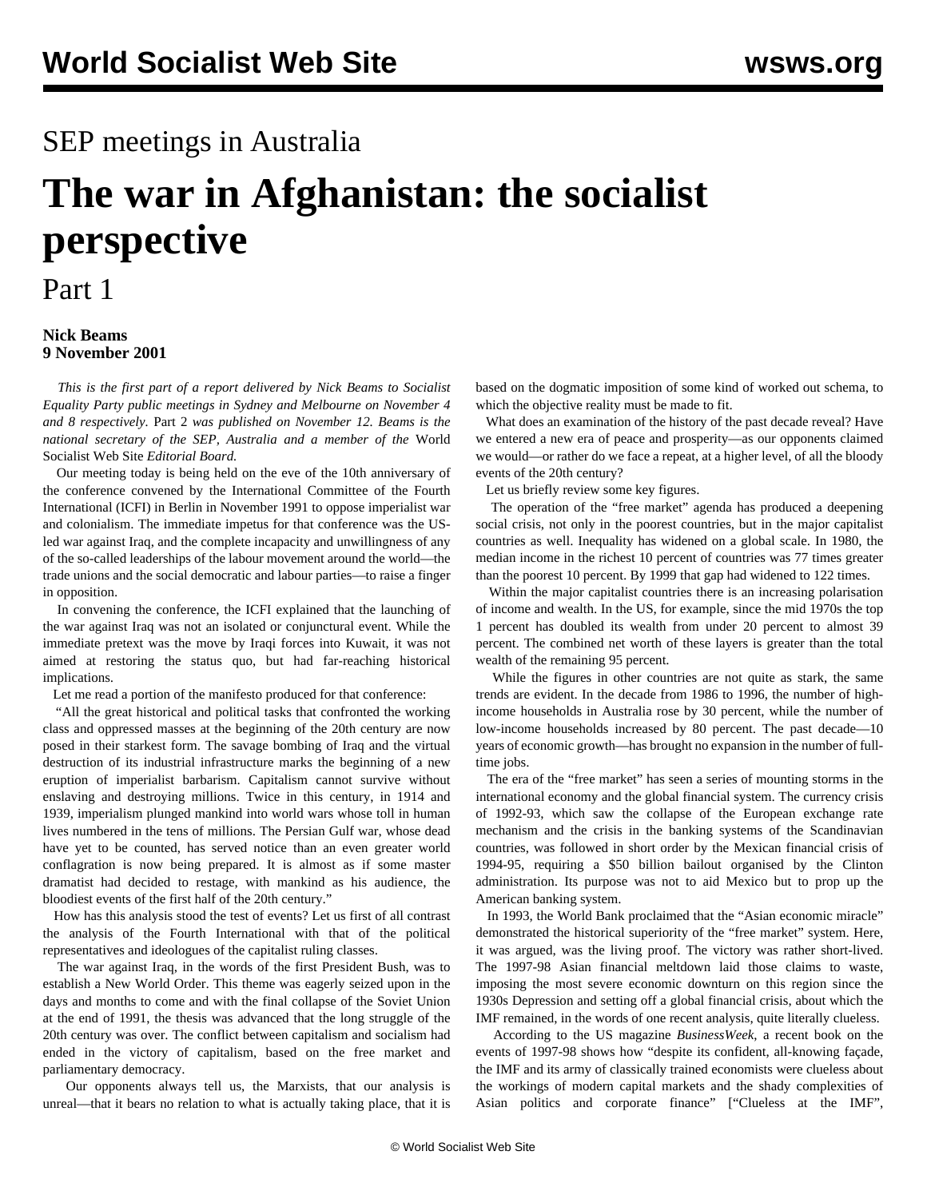## SEP meetings in Australia

# **The war in Afghanistan: the socialist perspective**

### Part 1

#### **Nick Beams 9 November 2001**

 *This is the first part of a report delivered by Nick Beams to Socialist Equality Party public meetings in Sydney and Melbourne on November 4 and 8 respectively.* [Part 2](nbp2-n12.shtml) *was published on November 12. Beams is the national secretary of the SEP, Australia and a member of the* World Socialist Web Site *Editorial Board.*

 Our meeting today is being held on the eve of the 10th anniversary of the conference convened by the International Committee of the Fourth International (ICFI) in Berlin in November 1991 to oppose imperialist war and colonialism. The immediate impetus for that conference was the USled war against Iraq, and the complete incapacity and unwillingness of any of the so-called leaderships of the labour movement around the world—the trade unions and the social democratic and labour parties—to raise a finger in opposition.

 In convening the conference, the ICFI explained that the launching of the war against Iraq was not an isolated or conjunctural event. While the immediate pretext was the move by Iraqi forces into Kuwait, it was not aimed at restoring the status quo, but had far-reaching historical implications.

Let me read a portion of the manifesto produced for that conference:

 "All the great historical and political tasks that confronted the working class and oppressed masses at the beginning of the 20th century are now posed in their starkest form. The savage bombing of Iraq and the virtual destruction of its industrial infrastructure marks the beginning of a new eruption of imperialist barbarism. Capitalism cannot survive without enslaving and destroying millions. Twice in this century, in 1914 and 1939, imperialism plunged mankind into world wars whose toll in human lives numbered in the tens of millions. The Persian Gulf war, whose dead have yet to be counted, has served notice than an even greater world conflagration is now being prepared. It is almost as if some master dramatist had decided to restage, with mankind as his audience, the bloodiest events of the first half of the 20th century."

 How has this analysis stood the test of events? Let us first of all contrast the analysis of the Fourth International with that of the political representatives and ideologues of the capitalist ruling classes.

 The war against Iraq, in the words of the first President Bush, was to establish a New World Order. This theme was eagerly seized upon in the days and months to come and with the final collapse of the Soviet Union at the end of 1991, the thesis was advanced that the long struggle of the 20th century was over. The conflict between capitalism and socialism had ended in the victory of capitalism, based on the free market and parliamentary democracy.

 Our opponents always tell us, the Marxists, that our analysis is unreal—that it bears no relation to what is actually taking place, that it is

based on the dogmatic imposition of some kind of worked out schema, to which the objective reality must be made to fit.

 What does an examination of the history of the past decade reveal? Have we entered a new era of peace and prosperity—as our opponents claimed we would—or rather do we face a repeat, at a higher level, of all the bloody events of the 20th century?

Let us briefly review some key figures.

 The operation of the "free market" agenda has produced a deepening social crisis, not only in the poorest countries, but in the major capitalist countries as well. Inequality has widened on a global scale. In 1980, the median income in the richest 10 percent of countries was 77 times greater than the poorest 10 percent. By 1999 that gap had widened to 122 times.

 Within the major capitalist countries there is an increasing polarisation of income and wealth. In the US, for example, since the mid 1970s the top 1 percent has doubled its wealth from under 20 percent to almost 39 percent. The combined net worth of these layers is greater than the total wealth of the remaining 95 percent.

 While the figures in other countries are not quite as stark, the same trends are evident. In the decade from 1986 to 1996, the number of highincome households in Australia rose by 30 percent, while the number of low-income households increased by 80 percent. The past decade—10 years of economic growth—has brought no expansion in the number of fulltime jobs.

 The era of the "free market" has seen a series of mounting storms in the international economy and the global financial system. The currency crisis of 1992-93, which saw the collapse of the European exchange rate mechanism and the crisis in the banking systems of the Scandinavian countries, was followed in short order by the Mexican financial crisis of 1994-95, requiring a \$50 billion bailout organised by the Clinton administration. Its purpose was not to aid Mexico but to prop up the American banking system.

 In 1993, the World Bank proclaimed that the "Asian economic miracle" demonstrated the historical superiority of the "free market" system. Here, it was argued, was the living proof. The victory was rather short-lived. The 1997-98 Asian financial meltdown laid those claims to waste, imposing the most severe economic downturn on this region since the 1930s Depression and setting off a global financial crisis, about which the IMF remained, in the words of one recent analysis, quite literally clueless.

 According to the US magazine *BusinessWeek*, a recent book on the events of 1997-98 shows how "despite its confident, all-knowing façade, the IMF and its army of classically trained economists were clueless about the workings of modern capital markets and the shady complexities of Asian politics and corporate finance" ["Clueless at the IMF",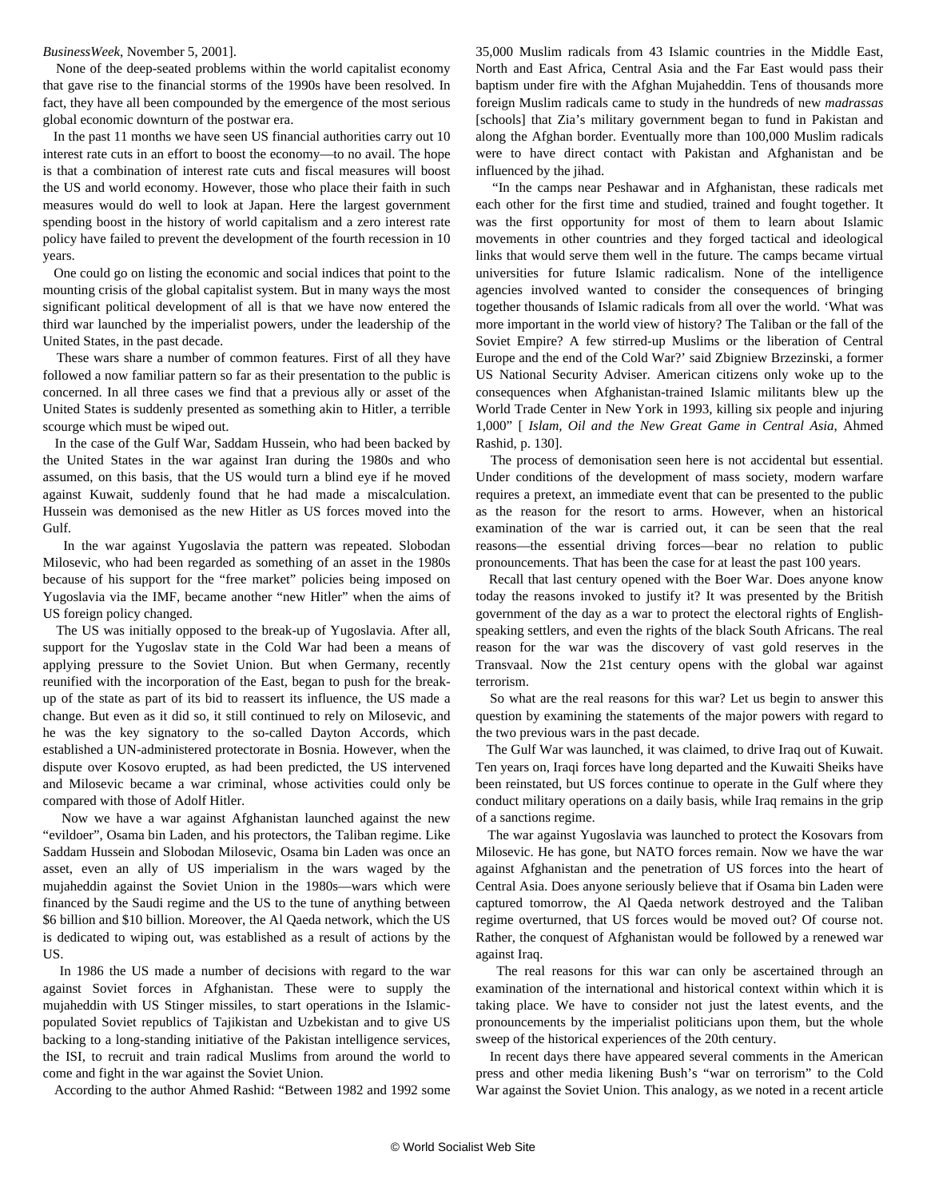#### *BusinessWeek*, November 5, 2001].

 None of the deep-seated problems within the world capitalist economy that gave rise to the financial storms of the 1990s have been resolved. In fact, they have all been compounded by the emergence of the most serious global economic downturn of the postwar era.

 In the past 11 months we have seen US financial authorities carry out 10 interest rate cuts in an effort to boost the economy—to no avail. The hope is that a combination of interest rate cuts and fiscal measures will boost the US and world economy. However, those who place their faith in such measures would do well to look at Japan. Here the largest government spending boost in the history of world capitalism and a zero interest rate policy have failed to prevent the development of the fourth recession in 10 years.

 One could go on listing the economic and social indices that point to the mounting crisis of the global capitalist system. But in many ways the most significant political development of all is that we have now entered the third war launched by the imperialist powers, under the leadership of the United States, in the past decade.

 These wars share a number of common features. First of all they have followed a now familiar pattern so far as their presentation to the public is concerned. In all three cases we find that a previous ally or asset of the United States is suddenly presented as something akin to Hitler, a terrible scourge which must be wiped out.

 In the case of the Gulf War, Saddam Hussein, who had been backed by the United States in the war against Iran during the 1980s and who assumed, on this basis, that the US would turn a blind eye if he moved against Kuwait, suddenly found that he had made a miscalculation. Hussein was demonised as the new Hitler as US forces moved into the Gulf.

 In the war against Yugoslavia the pattern was repeated. Slobodan Milosevic, who had been regarded as something of an asset in the 1980s because of his support for the "free market" policies being imposed on Yugoslavia via the IMF, became another "new Hitler" when the aims of US foreign policy changed.

 The US was initially opposed to the break-up of Yugoslavia. After all, support for the Yugoslav state in the Cold War had been a means of applying pressure to the Soviet Union. But when Germany, recently reunified with the incorporation of the East, began to push for the breakup of the state as part of its bid to reassert its influence, the US made a change. But even as it did so, it still continued to rely on Milosevic, and he was the key signatory to the so-called Dayton Accords, which established a UN-administered protectorate in Bosnia. However, when the dispute over Kosovo erupted, as had been predicted, the US intervened and Milosevic became a war criminal, whose activities could only be compared with those of Adolf Hitler.

 Now we have a war against Afghanistan launched against the new "evildoer", Osama bin Laden, and his protectors, the Taliban regime. Like Saddam Hussein and Slobodan Milosevic, Osama bin Laden was once an asset, even an ally of US imperialism in the wars waged by the mujaheddin against the Soviet Union in the 1980s—wars which were financed by the Saudi regime and the US to the tune of anything between \$6 billion and \$10 billion. Moreover, the Al Qaeda network, which the US is dedicated to wiping out, was established as a result of actions by the US.

 In 1986 the US made a number of decisions with regard to the war against Soviet forces in Afghanistan. These were to supply the mujaheddin with US Stinger missiles, to start operations in the Islamicpopulated Soviet republics of Tajikistan and Uzbekistan and to give US backing to a long-standing initiative of the Pakistan intelligence services, the ISI, to recruit and train radical Muslims from around the world to come and fight in the war against the Soviet Union.

According to the author Ahmed Rashid: "Between 1982 and 1992 some

35,000 Muslim radicals from 43 Islamic countries in the Middle East, North and East Africa, Central Asia and the Far East would pass their baptism under fire with the Afghan Mujaheddin. Tens of thousands more foreign Muslim radicals came to study in the hundreds of new *madrassas* [schools] that Zia's military government began to fund in Pakistan and along the Afghan border. Eventually more than 100,000 Muslim radicals were to have direct contact with Pakistan and Afghanistan and be influenced by the jihad.

 "In the camps near Peshawar and in Afghanistan, these radicals met each other for the first time and studied, trained and fought together. It was the first opportunity for most of them to learn about Islamic movements in other countries and they forged tactical and ideological links that would serve them well in the future. The camps became virtual universities for future Islamic radicalism. None of the intelligence agencies involved wanted to consider the consequences of bringing together thousands of Islamic radicals from all over the world. 'What was more important in the world view of history? The Taliban or the fall of the Soviet Empire? A few stirred-up Muslims or the liberation of Central Europe and the end of the Cold War?' said Zbigniew Brzezinski, a former US National Security Adviser. American citizens only woke up to the consequences when Afghanistan-trained Islamic militants blew up the World Trade Center in New York in 1993, killing six people and injuring 1,000" [ *Islam, Oil and the New Great Game in Central Asia*, Ahmed Rashid, p. 130].

 The process of demonisation seen here is not accidental but essential. Under conditions of the development of mass society, modern warfare requires a pretext, an immediate event that can be presented to the public as the reason for the resort to arms. However, when an historical examination of the war is carried out, it can be seen that the real reasons—the essential driving forces—bear no relation to public pronouncements. That has been the case for at least the past 100 years.

 Recall that last century opened with the Boer War. Does anyone know today the reasons invoked to justify it? It was presented by the British government of the day as a war to protect the electoral rights of Englishspeaking settlers, and even the rights of the black South Africans. The real reason for the war was the discovery of vast gold reserves in the Transvaal. Now the 21st century opens with the global war against terrorism.

 So what are the real reasons for this war? Let us begin to answer this question by examining the statements of the major powers with regard to the two previous wars in the past decade.

 The Gulf War was launched, it was claimed, to drive Iraq out of Kuwait. Ten years on, Iraqi forces have long departed and the Kuwaiti Sheiks have been reinstated, but US forces continue to operate in the Gulf where they conduct military operations on a daily basis, while Iraq remains in the grip of a sanctions regime.

 The war against Yugoslavia was launched to protect the Kosovars from Milosevic. He has gone, but NATO forces remain. Now we have the war against Afghanistan and the penetration of US forces into the heart of Central Asia. Does anyone seriously believe that if Osama bin Laden were captured tomorrow, the Al Qaeda network destroyed and the Taliban regime overturned, that US forces would be moved out? Of course not. Rather, the conquest of Afghanistan would be followed by a renewed war against Iraq.

 The real reasons for this war can only be ascertained through an examination of the international and historical context within which it is taking place. We have to consider not just the latest events, and the pronouncements by the imperialist politicians upon them, but the whole sweep of the historical experiences of the 20th century.

 In recent days there have appeared several comments in the American press and other media likening Bush's "war on terrorism" to the Cold War against the Soviet Union. This analogy, as we noted in a recent article